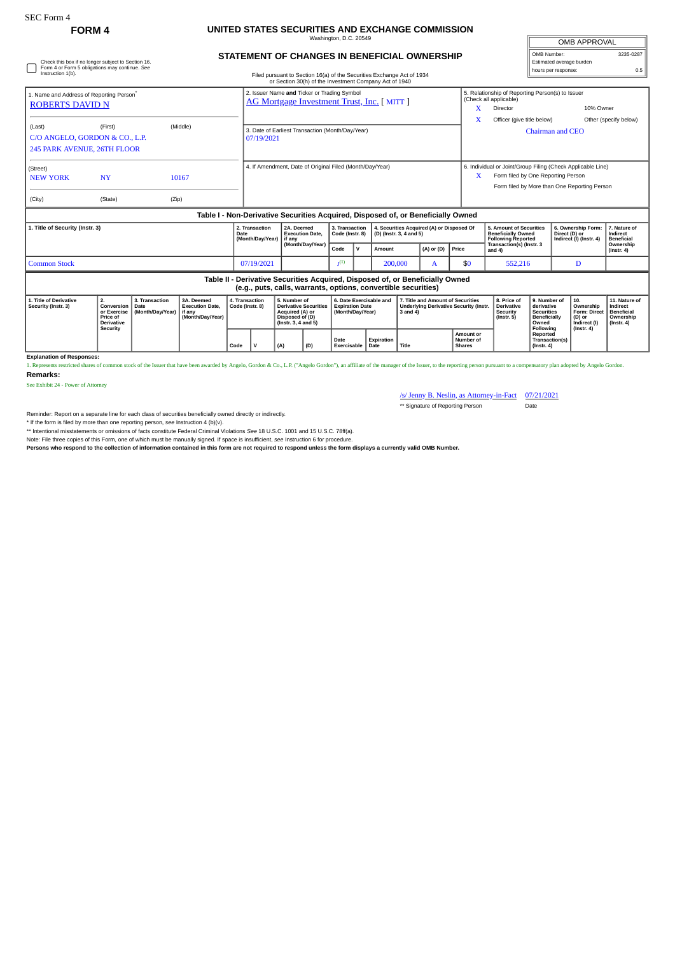Check this box if no longer subject to Section 16. Form 4 or Form 5 obligations may continue. *See* Instruction 1(b).

## **FORM 4 UNITED STATES SECURITIES AND EXCHANGE COMMISSION** Washington, D.C. 20549

Filed pursuant to Section 16(a) of the Securities Exchange Act of 1934

**STATEMENT OF CHANGES IN BENEFICIAL OWNERSHIP**

|           | OMB APPROVAL                            |           |  |  |  |  |  |  |
|-----------|-----------------------------------------|-----------|--|--|--|--|--|--|
|           | OMB Number:<br>Estimated average burden | 3235-0287 |  |  |  |  |  |  |
|           | hours per response:                     | 0.5       |  |  |  |  |  |  |
| ۱ د اما م | of Reporting Person(s) to Issuer        |           |  |  |  |  |  |  |

|                                                                                                                                                 |                                                                              |                                            |                                                                                  |                                   |                                                                                            |                                                                                                           |     |                                                                       |              | or Section 30(h) of the Investment Company Act of 1940               |                                                                                                     |                                                         |                                                                                   |                                                                            |                                                                                              |                                                                                       |                                                                                 |  |
|-------------------------------------------------------------------------------------------------------------------------------------------------|------------------------------------------------------------------------------|--------------------------------------------|----------------------------------------------------------------------------------|-----------------------------------|--------------------------------------------------------------------------------------------|-----------------------------------------------------------------------------------------------------------|-----|-----------------------------------------------------------------------|--------------|----------------------------------------------------------------------|-----------------------------------------------------------------------------------------------------|---------------------------------------------------------|-----------------------------------------------------------------------------------|----------------------------------------------------------------------------|----------------------------------------------------------------------------------------------|---------------------------------------------------------------------------------------|---------------------------------------------------------------------------------|--|
| 1. Name and Address of Reporting Person <sup>7</sup><br><b>ROBERTS DAVID N</b>                                                                  |                                                                              |                                            |                                                                                  |                                   | 2. Issuer Name and Ticker or Trading Symbol<br>AG Mortgage Investment Trust, Inc. [ MITT ] |                                                                                                           |     |                                                                       |              |                                                                      |                                                                                                     |                                                         |                                                                                   | 5. Relationship of Reporting Person(s) to Issuer<br>(Check all applicable) |                                                                                              |                                                                                       |                                                                                 |  |
|                                                                                                                                                 |                                                                              |                                            |                                                                                  |                                   |                                                                                            |                                                                                                           |     |                                                                       |              |                                                                      |                                                                                                     |                                                         | x                                                                                 | Director                                                                   |                                                                                              | 10% Owner                                                                             |                                                                                 |  |
|                                                                                                                                                 |                                                                              |                                            |                                                                                  |                                   |                                                                                            |                                                                                                           |     |                                                                       |              |                                                                      |                                                                                                     |                                                         |                                                                                   | Officer (give title below)                                                 |                                                                                              |                                                                                       | Other (specify below)                                                           |  |
| (First)<br>(Middle)<br>(Last)                                                                                                                   |                                                                              |                                            |                                                                                  |                                   | 3. Date of Earliest Transaction (Month/Day/Year)                                           |                                                                                                           |     |                                                                       |              |                                                                      |                                                                                                     |                                                         |                                                                                   | <b>Chairman and CEO</b>                                                    |                                                                                              |                                                                                       |                                                                                 |  |
| C/O ANGELO, GORDON & CO., L.P.                                                                                                                  |                                                                              |                                            |                                                                                  |                                   | 07/19/2021                                                                                 |                                                                                                           |     |                                                                       |              |                                                                      |                                                                                                     |                                                         |                                                                                   |                                                                            |                                                                                              |                                                                                       |                                                                                 |  |
| 245 PARK AVENUE, 26TH FLOOR                                                                                                                     |                                                                              |                                            |                                                                                  |                                   |                                                                                            |                                                                                                           |     |                                                                       |              |                                                                      |                                                                                                     |                                                         |                                                                                   |                                                                            |                                                                                              |                                                                                       |                                                                                 |  |
| (Street)                                                                                                                                        |                                                                              |                                            |                                                                                  |                                   |                                                                                            | 4. If Amendment, Date of Original Filed (Month/Day/Year)                                                  |     |                                                                       |              |                                                                      |                                                                                                     |                                                         |                                                                                   | 6. Individual or Joint/Group Filing (Check Applicable Line)                |                                                                                              |                                                                                       |                                                                                 |  |
| <b>NEW YORK</b>                                                                                                                                 | <b>NY</b>                                                                    |                                            | 10167                                                                            |                                   |                                                                                            |                                                                                                           |     |                                                                       |              |                                                                      |                                                                                                     |                                                         | X.                                                                                | Form filed by One Reporting Person                                         |                                                                                              |                                                                                       |                                                                                 |  |
|                                                                                                                                                 |                                                                              |                                            |                                                                                  |                                   |                                                                                            |                                                                                                           |     |                                                                       |              |                                                                      |                                                                                                     |                                                         |                                                                                   |                                                                            |                                                                                              | Form filed by More than One Reporting Person                                          |                                                                                 |  |
| (City)                                                                                                                                          | (State)                                                                      | (Zip)                                      |                                                                                  |                                   |                                                                                            |                                                                                                           |     |                                                                       |              |                                                                      |                                                                                                     |                                                         |                                                                                   |                                                                            |                                                                                              |                                                                                       |                                                                                 |  |
|                                                                                                                                                 |                                                                              |                                            | Table I - Non-Derivative Securities Acquired, Disposed of, or Beneficially Owned |                                   |                                                                                            |                                                                                                           |     |                                                                       |              |                                                                      |                                                                                                     |                                                         |                                                                                   |                                                                            |                                                                                              |                                                                                       |                                                                                 |  |
| 1. Title of Security (Instr. 3)<br>Date                                                                                                         |                                                                              |                                            |                                                                                  |                                   | 2. Transaction<br>(Month/Day/Year)                                                         | 2A. Deemed<br><b>Execution Date.</b><br>if any<br>(Month/Day/Year)                                        |     | 3. Transaction<br>Code (Instr. 8)                                     |              | 4. Securities Acquired (A) or Disposed Of<br>(D) (Instr. 3, 4 and 5) |                                                                                                     |                                                         | 5. Amount of Securities<br><b>Beneficially Owned</b><br><b>Following Reported</b> |                                                                            | 6. Ownership Form:<br>Direct (D) or<br>Indirect (I) (Instr. 4)                               | 7. Nature of<br>Indirect<br><b>Beneficial</b>                                         |                                                                                 |  |
|                                                                                                                                                 |                                                                              |                                            |                                                                                  |                                   |                                                                                            |                                                                                                           |     | Code                                                                  | $\mathsf{v}$ | Amount                                                               |                                                                                                     | $(A)$ or $(D)$                                          | Price                                                                             | Transaction(s) (Instr. 3<br>and $4$ )                                      |                                                                                              |                                                                                       | Ownership<br>$($ Instr. 4 $)$                                                   |  |
| <b>Common Stock</b>                                                                                                                             |                                                                              |                                            |                                                                                  |                                   | 07/19/2021                                                                                 |                                                                                                           |     | $\mathbf{I}^{(1)}$                                                    |              | 200,000                                                              |                                                                                                     | A                                                       | \$0                                                                               | 552,216                                                                    |                                                                                              | D                                                                                     |                                                                                 |  |
| Table II - Derivative Securities Acquired, Disposed of, or Beneficially Owned<br>(e.g., puts, calls, warrants, options, convertible securities) |                                                                              |                                            |                                                                                  |                                   |                                                                                            |                                                                                                           |     |                                                                       |              |                                                                      |                                                                                                     |                                                         |                                                                                   |                                                                            |                                                                                              |                                                                                       |                                                                                 |  |
| 1. Title of Derivative<br>Security (Instr. 3)                                                                                                   | 2.<br>Conversion<br>or Exercise<br>Price of<br><b>Derivative</b><br>Security | 3. Transaction<br>Date<br>(Month/Day/Year) | 3A. Deemed<br><b>Execution Date.</b><br>if any<br>(Month/Day/Year)               | 4. Transaction<br>Code (Instr. 8) |                                                                                            | 5. Number of<br><b>Derivative Securities</b><br>Acquired (A) or<br>Disposed of (D)<br>(Instr. 3, 4 and 5) |     | 6. Date Exercisable and<br><b>Expiration Date</b><br>(Month/Day/Year) |              |                                                                      | 7. Title and Amount of Securities<br><b>Underlying Derivative Security (Instr.</b><br>$3$ and $4$ ) |                                                         |                                                                                   | 8. Price of<br><b>Derivative</b><br>Security<br>$($ Instr. 5 $)$           | 9. Number of<br>derivative<br><b>Securities</b><br><b>Beneficially</b><br>Owned<br>Following | 10.<br>Ownership<br><b>Form: Direct</b><br>(D) or<br>Indirect (I)<br>$($ lnstr. 4 $)$ | 11. Nature of<br>Indirect<br><b>Beneficial</b><br>Ownership<br>$($ Instr. 4 $)$ |  |
|                                                                                                                                                 |                                                                              |                                            |                                                                                  | Code                              | $\mathbf{v}$                                                                               | (A)                                                                                                       | (D) | Date<br>Exercisable                                                   |              | Expiration<br>Date                                                   |                                                                                                     | <b>Amount or</b><br>Number of<br>Title<br><b>Shares</b> |                                                                                   |                                                                            | Reported<br>Transaction(s)<br>$($ Instr. 4 $)$                                               |                                                                                       |                                                                                 |  |

**Explanation of Responses:**

1. Represents restricted shares of common stock of the Issuer that have been awarded by Angelo, Gordon & Co., L.P. ("Angelo Gordon"), an affiliate of the manager of the Issuer, to the reporting person pursuant to a compens **Remarks:**

See Exhibit 24 - Power of Attorney

/s/ Jenny B. Neslin, as Attorney-in-Fact 07/21/2021

\*\* Signature of Reporting Person Date

Reminder: Report on a separate line for each class of securities beneficially owned directly or indirectly.

\* If the form is filed by more than one reporting person, *see* Instruction 4 (b)(v).

\*\* Intentional misstatements or omissions of facts constitute Federal Criminal Violations *See* 18 U.S.C. 1001 and 15 U.S.C. 78ff(a).

Note: File three copies of this Form, one of which must be manually signed. If space is insufficient, *see* Instruction 6 for procedure.

**Persons who respond to the collection of information contained in this form are not required to respond unless the form displays a currently valid OMB Number.**